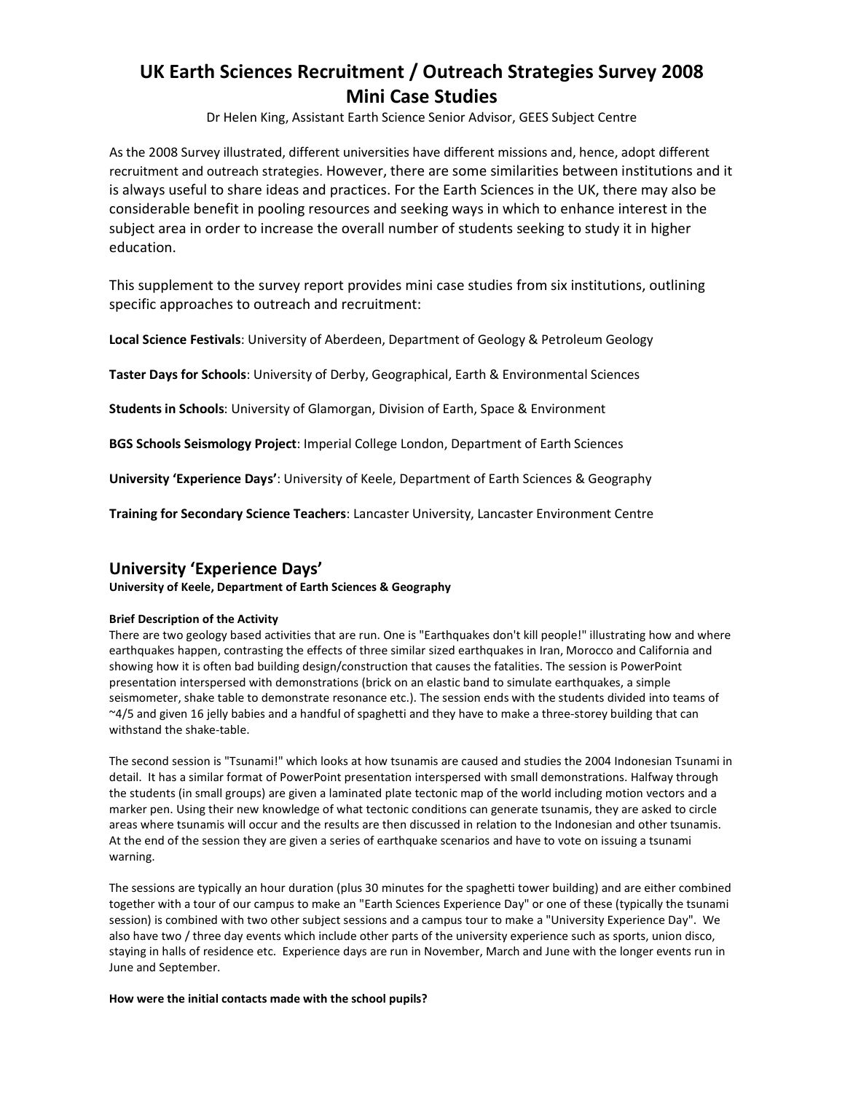# UK Earth Sciences Recruitment / Outreach Strategies Survey 2008 Mini Case Studies

Dr Helen King, Assistant Earth Science Senior Advisor, GEES Subject Centre

As the 2008 Survey illustrated, different universities have different missions and, hence, adopt different recruitment and outreach strategies. However, there are some similarities between institutions and it is always useful to share ideas and practices. For the Earth Sciences in the UK, there may also be considerable benefit in pooling resources and seeking ways in which to enhance interest in the subject area in order to increase the overall number of students seeking to study it in higher education.

This supplement to the survey report provides mini case studies from six institutions, outlining specific approaches to outreach and recruitment:

Local Science Festivals: University of Aberdeen, Department of Geology & Petroleum Geology

Taster Days for Schools: University of Derby, Geographical, Earth & Environmental Sciences

Students in Schools: University of Glamorgan, Division of Earth, Space & Environment

BGS Schools Seismology Project: Imperial College London, Department of Earth Sciences

University 'Experience Days': University of Keele, Department of Earth Sciences & Geography

Training for Secondary Science Teachers: Lancaster University, Lancaster Environment Centre

# University 'Experience Days'

University of Keele, Department of Earth Sciences & Geography

## Brief Description of the Activity

There are two geology based activities that are run. One is "Earthquakes don't kill people!" illustrating how and where earthquakes happen, contrasting the effects of three similar sized earthquakes in Iran, Morocco and California and showing how it is often bad building design/construction that causes the fatalities. The session is PowerPoint presentation interspersed with demonstrations (brick on an elastic band to simulate earthquakes, a simple seismometer, shake table to demonstrate resonance etc.). The session ends with the students divided into teams of ~4/5 and given 16 jelly babies and a handful of spaghetti and they have to make a three-storey building that can withstand the shake-table.

The second session is "Tsunami!" which looks at how tsunamis are caused and studies the 2004 Indonesian Tsunami in detail. It has a similar format of PowerPoint presentation interspersed with small demonstrations. Halfway through the students (in small groups) are given a laminated plate tectonic map of the world including motion vectors and a marker pen. Using their new knowledge of what tectonic conditions can generate tsunamis, they are asked to circle areas where tsunamis will occur and the results are then discussed in relation to the Indonesian and other tsunamis. At the end of the session they are given a series of earthquake scenarios and have to vote on issuing a tsunami warning.

The sessions are typically an hour duration (plus 30 minutes for the spaghetti tower building) and are either combined together with a tour of our campus to make an "Earth Sciences Experience Day" or one of these (typically the tsunami session) is combined with two other subject sessions and a campus tour to make a "University Experience Day". We also have two / three day events which include other parts of the university experience such as sports, union disco, staying in halls of residence etc. Experience days are run in November, March and June with the longer events run in June and September.

## How were the initial contacts made with the school pupils?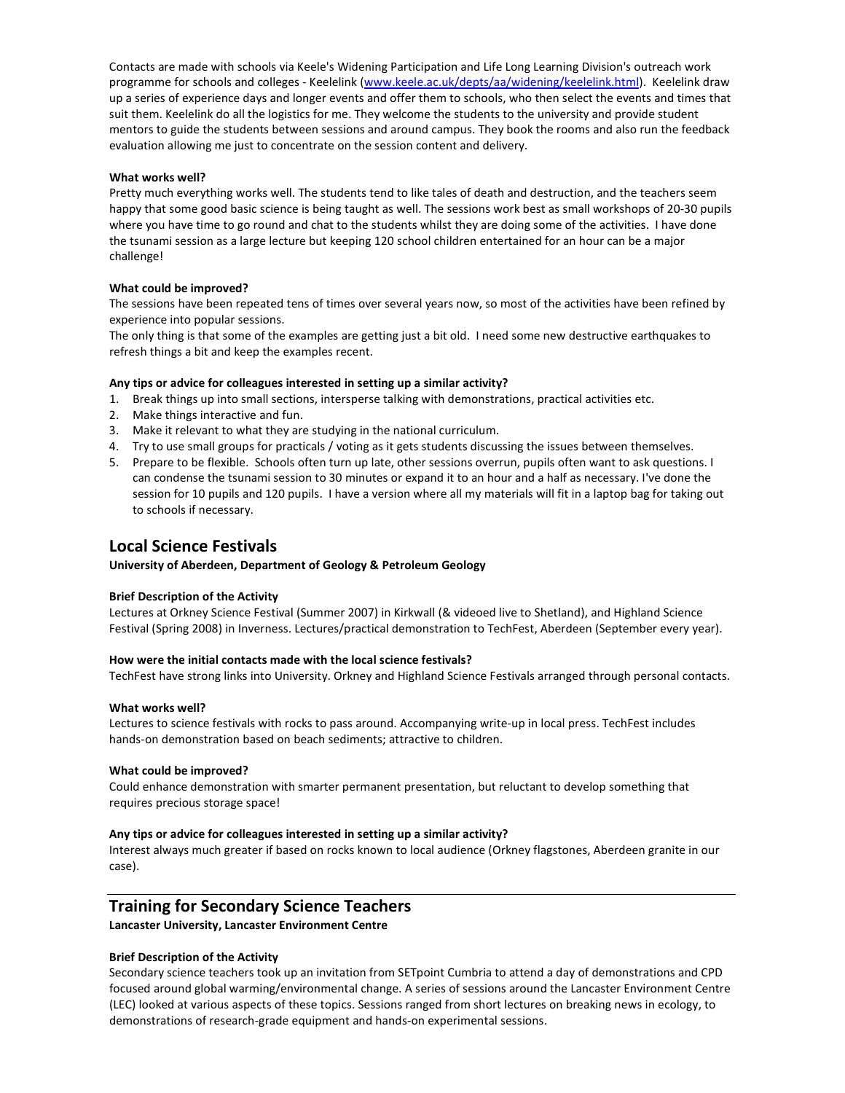Contacts are made with schools via Keele's Widening Participation and Life Long Learning Division's outreach work programme for schools and colleges - Keelelink (www.keele.ac.uk/depts/aa/widening/keelelink.html). Keelelink draw up a series of experience days and longer events and offer them to schools, who then select the events and times that suit them. Keelelink do all the logistics for me. They welcome the students to the university and provide student mentors to guide the students between sessions and around campus. They book the rooms and also run the feedback evaluation allowing me just to concentrate on the session content and delivery.

## What works well?

Pretty much everything works well. The students tend to like tales of death and destruction, and the teachers seem happy that some good basic science is being taught as well. The sessions work best as small workshops of 20-30 pupils where you have time to go round and chat to the students whilst they are doing some of the activities. I have done the tsunami session as a large lecture but keeping 120 school children entertained for an hour can be a major challenge!

## What could be improved?

The sessions have been repeated tens of times over several years now, so most of the activities have been refined by experience into popular sessions.

The only thing is that some of the examples are getting just a bit old. I need some new destructive earthquakes to refresh things a bit and keep the examples recent.

## Any tips or advice for colleagues interested in setting up a similar activity?

- 1. Break things up into small sections, intersperse talking with demonstrations, practical activities etc.
- 2. Make things interactive and fun.
- 3. Make it relevant to what they are studying in the national curriculum.
- 4. Try to use small groups for practicals / voting as it gets students discussing the issues between themselves.
- 5. Prepare to be flexible. Schools often turn up late, other sessions overrun, pupils often want to ask questions. I can condense the tsunami session to 30 minutes or expand it to an hour and a half as necessary. I've done the session for 10 pupils and 120 pupils. I have a version where all my materials will fit in a laptop bag for taking out to schools if necessary.

## Local Science Festivals

University of Aberdeen, Department of Geology & Petroleum Geology

#### Brief Description of the Activity

Lectures at Orkney Science Festival (Summer 2007) in Kirkwall (& videoed live to Shetland), and Highland Science Festival (Spring 2008) in Inverness. Lectures/practical demonstration to TechFest, Aberdeen (September every year).

#### How were the initial contacts made with the local science festivals?

TechFest have strong links into University. Orkney and Highland Science Festivals arranged through personal contacts.

#### What works well?

Lectures to science festivals with rocks to pass around. Accompanying write-up in local press. TechFest includes hands-on demonstration based on beach sediments; attractive to children.

#### What could be improved?

Could enhance demonstration with smarter permanent presentation, but reluctant to develop something that requires precious storage space!

#### Any tips or advice for colleagues interested in setting up a similar activity?

Interest always much greater if based on rocks known to local audience (Orkney flagstones, Aberdeen granite in our case).

## Training for Secondary Science Teachers

Lancaster University, Lancaster Environment Centre

#### Brief Description of the Activity

Secondary science teachers took up an invitation from SETpoint Cumbria to attend a day of demonstrations and CPD focused around global warming/environmental change. A series of sessions around the Lancaster Environment Centre (LEC) looked at various aspects of these topics. Sessions ranged from short lectures on breaking news in ecology, to demonstrations of research-grade equipment and hands-on experimental sessions.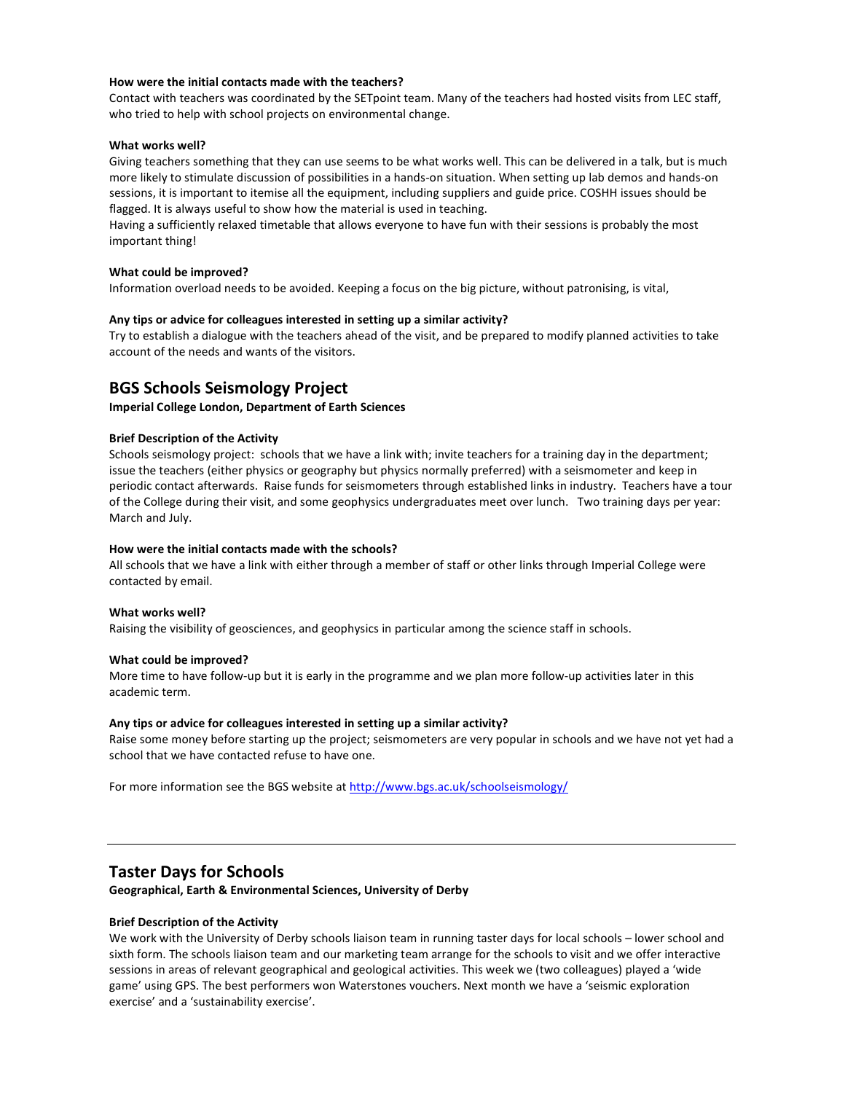#### How were the initial contacts made with the teachers?

Contact with teachers was coordinated by the SETpoint team. Many of the teachers had hosted visits from LEC staff, who tried to help with school projects on environmental change.

## What works well?

Giving teachers something that they can use seems to be what works well. This can be delivered in a talk, but is much more likely to stimulate discussion of possibilities in a hands-on situation. When setting up lab demos and hands-on sessions, it is important to itemise all the equipment, including suppliers and guide price. COSHH issues should be flagged. It is always useful to show how the material is used in teaching.

Having a sufficiently relaxed timetable that allows everyone to have fun with their sessions is probably the most important thing!

#### What could be improved?

Information overload needs to be avoided. Keeping a focus on the big picture, without patronising, is vital,

#### Any tips or advice for colleagues interested in setting up a similar activity?

Try to establish a dialogue with the teachers ahead of the visit, and be prepared to modify planned activities to take account of the needs and wants of the visitors.

# BGS Schools Seismology Project

## Imperial College London, Department of Earth Sciences

## Brief Description of the Activity

Schools seismology project: schools that we have a link with; invite teachers for a training day in the department; issue the teachers (either physics or geography but physics normally preferred) with a seismometer and keep in periodic contact afterwards. Raise funds for seismometers through established links in industry. Teachers have a tour of the College during their visit, and some geophysics undergraduates meet over lunch. Two training days per year: March and July.

## How were the initial contacts made with the schools?

All schools that we have a link with either through a member of staff or other links through Imperial College were contacted by email.

## What works well?

Raising the visibility of geosciences, and geophysics in particular among the science staff in schools.

## What could be improved?

More time to have follow-up but it is early in the programme and we plan more follow-up activities later in this academic term.

#### Any tips or advice for colleagues interested in setting up a similar activity?

Raise some money before starting up the project; seismometers are very popular in schools and we have not yet had a school that we have contacted refuse to have one.

For more information see the BGS website at http://www.bgs.ac.uk/schoolseismology/

# Taster Days for Schools

Geographical, Earth & Environmental Sciences, University of Derby

## Brief Description of the Activity

We work with the University of Derby schools liaison team in running taster days for local schools – lower school and sixth form. The schools liaison team and our marketing team arrange for the schools to visit and we offer interactive sessions in areas of relevant geographical and geological activities. This week we (two colleagues) played a 'wide game' using GPS. The best performers won Waterstones vouchers. Next month we have a 'seismic exploration exercise' and a 'sustainability exercise'.